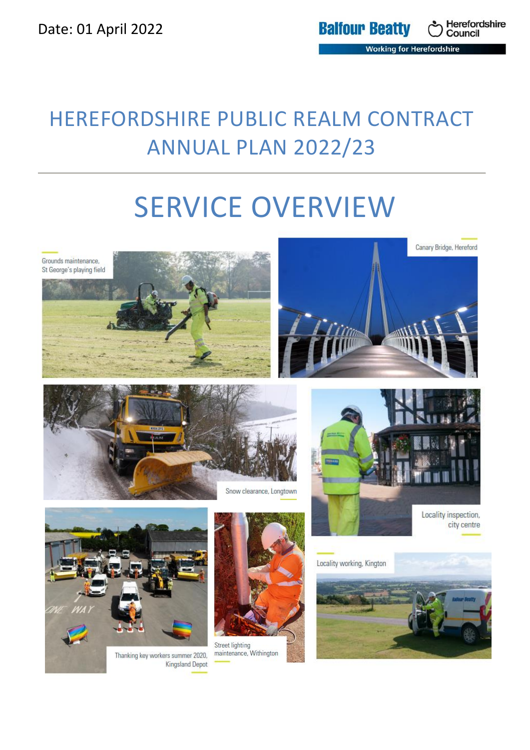## HEREFORDSHIRE PUBLIC REALM CONTRACT ANNUAL PLAN 2022/23

# SERVICE OVERVIEW



Thanking key workers summer 2020, **Kingsland Depot** 

maintenance, Withington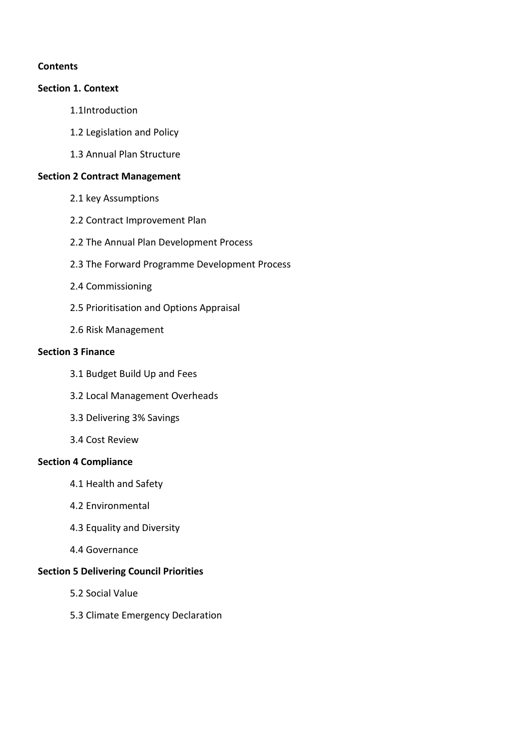## **Contents**

#### **Section 1. Context**

- 1.1Introduction
- 1.2 Legislation and Policy
- 1.3 Annual Plan Structure

#### **Section 2 Contract Management**

- 2.1 key Assumptions
- 2.2 Contract Improvement Plan
- 2.2 The Annual Plan Development Process
- 2.3 The Forward Programme Development Process
- 2.4 Commissioning
- 2.5 Prioritisation and Options Appraisal
- 2.6 Risk Management

#### **Section 3 Finance**

- 3.1 Budget Build Up and Fees
- 3.2 Local Management Overheads
- 3.3 Delivering 3% Savings
- 3.4 Cost Review

#### **Section 4 Compliance**

- 4.1 Health and Safety
- 4.2 Environmental
- 4.3 Equality and Diversity
- 4.4 Governance

## **Section 5 Delivering Council Priorities**

- 5.2 Social Value
- 5.3 Climate Emergency Declaration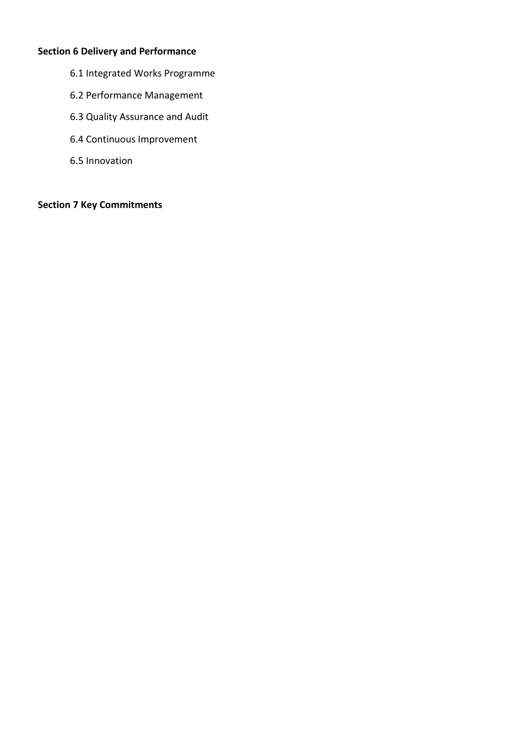## **Section 6 Delivery and Performance**

- 6.1 Integrated Works Programme
- 6.2 Performance Management
- 6.3 Quality Assurance and Audit
- 6.4 Continuous Improvement
- 6.5 Innovation

## **Section 7 Key Commitments**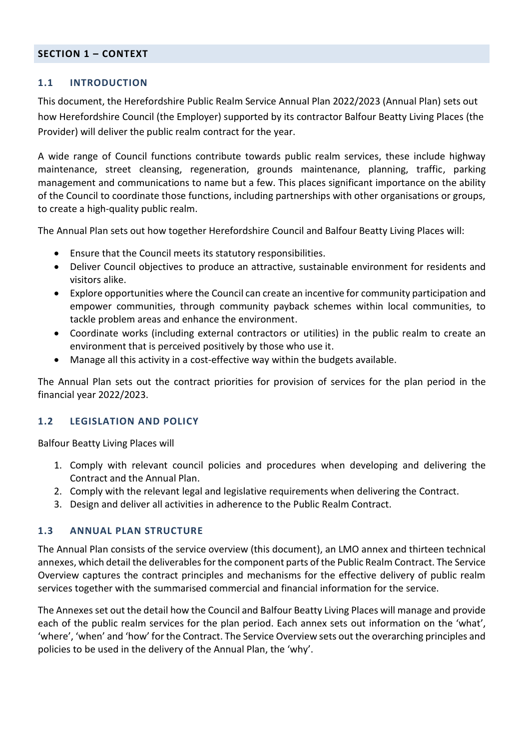#### **SECTION 1 – CONTEXT**

#### **1.1 INTRODUCTION**

This document, the Herefordshire Public Realm Service Annual Plan 2022/2023 (Annual Plan) sets out how Herefordshire Council (the Employer) supported by its contractor Balfour Beatty Living Places (the Provider) will deliver the public realm contract for the year.

A wide range of Council functions contribute towards public realm services, these include highway maintenance, street cleansing, regeneration, grounds maintenance, planning, traffic, parking management and communications to name but a few. This places significant importance on the ability of the Council to coordinate those functions, including partnerships with other organisations or groups, to create a high-quality public realm.

The Annual Plan sets out how together Herefordshire Council and Balfour Beatty Living Places will:

- Ensure that the Council meets its statutory responsibilities.
- Deliver Council objectives to produce an attractive, sustainable environment for residents and visitors alike.
- Explore opportunities where the Council can create an incentive for community participation and empower communities, through community payback schemes within local communities, to tackle problem areas and enhance the environment.
- Coordinate works (including external contractors or utilities) in the public realm to create an environment that is perceived positively by those who use it.
- Manage all this activity in a cost-effective way within the budgets available.

The Annual Plan sets out the contract priorities for provision of services for the plan period in the financial year 2022/2023.

#### **1.2 LEGISLATION AND POLICY**

Balfour Beatty Living Places will

- 1. Comply with relevant council policies and procedures when developing and delivering the Contract and the Annual Plan.
- 2. Comply with the relevant legal and legislative requirements when delivering the Contract.
- 3. Design and deliver all activities in adherence to the Public Realm Contract.

#### **1.3 ANNUAL PLAN STRUCTURE**

The Annual Plan consists of the service overview (this document), an LMO annex and thirteen technical annexes, which detail the deliverables for the component parts of the Public Realm Contract. The Service Overview captures the contract principles and mechanisms for the effective delivery of public realm services together with the summarised commercial and financial information for the service.

The Annexes set out the detail how the Council and Balfour Beatty Living Places will manage and provide each of the public realm services for the plan period. Each annex sets out information on the 'what', 'where', 'when' and 'how' for the Contract. The Service Overview sets out the overarching principles and policies to be used in the delivery of the Annual Plan, the 'why'.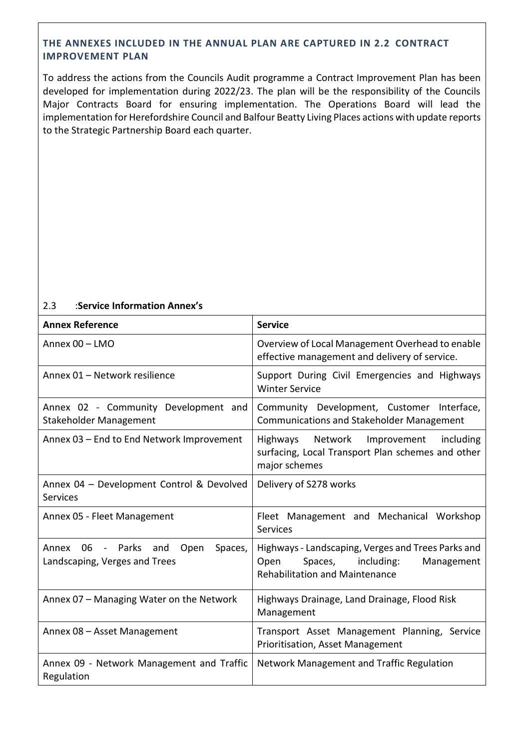#### **THE ANNEXES INCLUDED IN THE ANNUAL PLAN ARE CAPTURED IN [2.2 CONTRACT](#page-6-0)  [IMPROVEMENT PLAN](#page-6-0)**

[To address the actions from the Councils Audit programme a Contract Improvement Plan has been](#page-6-0)  [developed for implementation during 2022/23. The plan will be the responsibility of the Councils](#page-6-0)  [Major Contracts Board for ensuring implementation. The Operations Board will lead the](#page-6-0)  [implementation for Herefordshire Council and Balfour Beatty Living Places actions with update reports](#page-6-0)  [to the Strategic Partnership Board](#page-6-0) each quarter.

#### [2.3](#page-6-0) :**Service Information Annex's**

| <b>Annex Reference</b>                                                   | <b>Service</b>                                                                                                                          |  |
|--------------------------------------------------------------------------|-----------------------------------------------------------------------------------------------------------------------------------------|--|
| Annex 00 - LMO                                                           | Overview of Local Management Overhead to enable<br>effective management and delivery of service.                                        |  |
| Annex 01 - Network resilience                                            | Support During Civil Emergencies and Highways<br><b>Winter Service</b>                                                                  |  |
| Annex 02 - Community Development and<br>Stakeholder Management           | Community Development, Customer Interface,<br><b>Communications and Stakeholder Management</b>                                          |  |
| Annex 03 - End to End Network Improvement                                | Highways Network<br>Improvement including<br>surfacing, Local Transport Plan schemes and other<br>major schemes                         |  |
| Annex 04 - Development Control & Devolved<br>Services                    | Delivery of S278 works                                                                                                                  |  |
| Annex 05 - Fleet Management                                              | Fleet Management and Mechanical Workshop<br>Services                                                                                    |  |
| Annex 06 - Parks and<br>Open<br>Spaces,<br>Landscaping, Verges and Trees | Highways - Landscaping, Verges and Trees Parks and<br>Spaces, including:<br>Open<br>Management<br><b>Rehabilitation and Maintenance</b> |  |
| Annex 07 - Managing Water on the Network                                 | Highways Drainage, Land Drainage, Flood Risk<br>Management                                                                              |  |
| Annex 08 - Asset Management                                              | Transport Asset Management Planning, Service<br>Prioritisation, Asset Management                                                        |  |
| Annex 09 - Network Management and Traffic<br>Regulation                  | Network Management and Traffic Regulation                                                                                               |  |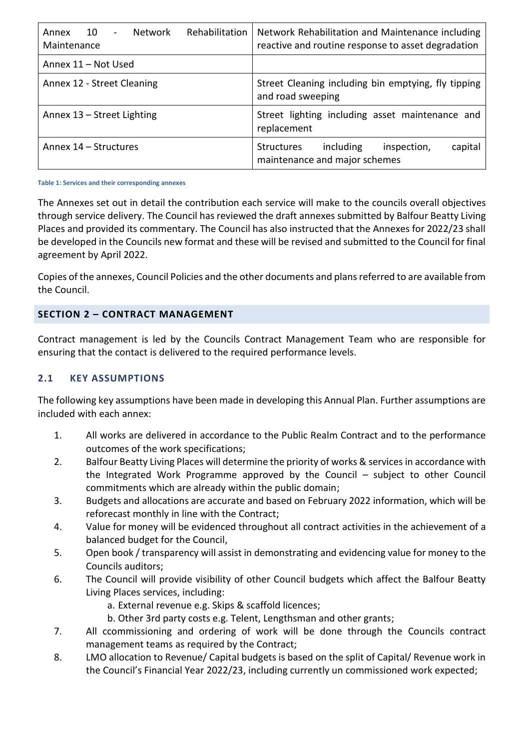| Rehabilitation<br>10<br>Network<br>Annex<br>$\sim$<br>Maintenance | Network Rehabilitation and Maintenance including<br>reactive and routine response to asset degradation |
|-------------------------------------------------------------------|--------------------------------------------------------------------------------------------------------|
| Annex 11 - Not Used                                               |                                                                                                        |
| Annex 12 - Street Cleaning                                        | Street Cleaning including bin emptying, fly tipping<br>and road sweeping                               |
| Annex 13 - Street Lighting                                        | Street lighting including asset maintenance and<br>replacement                                         |
| Annex 14 – Structures                                             | including<br>capital<br><b>Structures</b><br>inspection,<br>maintenance and major schemes              |

**Table 1: Services and their corresponding annexes**

The Annexes set out in detail the contribution each service will make to the councils overall objectives through service delivery. The Council has reviewed the draft annexes submitted by Balfour Beatty Living Places and provided its commentary. The Council has also instructed that the Annexes for 2022/23 shall be developed in the Councils new format and these will be revised and submitted to the Council for final agreement by April 2022.

Copies of the annexes, Council Policies and the other documents and plans referred to are available from the Council.

## **SECTION 2 – CONTRACT MANAGEMENT**

Contract management is led by the Councils Contract Management Team who are responsible for ensuring that the contact is delivered to the required performance levels.

## **2.1 KEY ASSUMPTIONS**

The following key assumptions have been made in developing this Annual Plan. Further assumptions are included with each annex:

- 1. All works are delivered in accordance to the Public Realm Contract and to the performance outcomes of the work specifications;
- 2. Balfour Beatty Living Places will determine the priority of works & services in accordance with the Integrated Work Programme approved by the Council – subject to other Council commitments which are already within the public domain;
- 3. Budgets and allocations are accurate and based on February 2022 information, which will be reforecast monthly in line with the Contract;
- 4. Value for money will be evidenced throughout all contract activities in the achievement of a balanced budget for the Council,
- 5. Open book / transparency will assist in demonstrating and evidencing value for money to the Councils auditors;
- 6. The Council will provide visibility of other Council budgets which affect the Balfour Beatty Living Places services, including:
	- a. External revenue e.g. Skips & scaffold licences;
	- b. Other 3rd party costs e.g. Telent, Lengthsman and other grants;
- 7. All ccommissioning and ordering of work will be done through the Councils contract management teams as required by the Contract;
- 8. LMO allocation to Revenue/ Capital budgets is based on the split of Capital/ Revenue work in the Council's Financial Year 2022/23, including currently un commissioned work expected;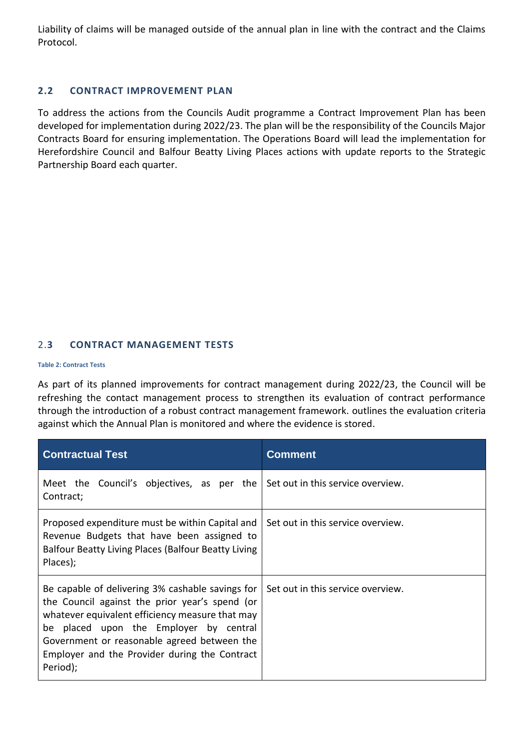Liability of claims will be managed outside of the annual plan in line with the contract and the Claims Protocol.

#### <span id="page-6-0"></span>**2.2 CONTRACT IMPROVEMENT PLAN**

To address the actions from the Councils Audit programme a Contract Improvement Plan has been developed for implementation during 2022/23. The plan will be the responsibility of the Councils Major Contracts Board for ensuring implementation. The Operations Board will lead the implementation for Herefordshire Council and Balfour Beatty Living Places actions with update reports to the Strategic Partnership Board each quarter.

#### 2.**3 CONTRACT MANAGEMENT TESTS**

#### **[Table 2: Contract Tests](#page-7-0)**

[As part of its planned improvements for contract management during 2022/23,](#page-7-0) the Council will be [refreshing the contact management process to strengthen its evaluation of contract performance](#page-7-0)  [through the introduction of a robust contract management framework.](#page-7-0) outlines the evaluation criteria against which the Annual Plan is monitored and where the evidence is stored.

| <b>Contractual Test</b>                                                                                                                                                                                                                                                                                     | <b>Comment</b>                    |  |
|-------------------------------------------------------------------------------------------------------------------------------------------------------------------------------------------------------------------------------------------------------------------------------------------------------------|-----------------------------------|--|
| Meet the Council's objectives, as per the<br>Contract;                                                                                                                                                                                                                                                      | Set out in this service overview. |  |
| Proposed expenditure must be within Capital and<br>Revenue Budgets that have been assigned to<br>Balfour Beatty Living Places (Balfour Beatty Living<br>Places);                                                                                                                                            | Set out in this service overview. |  |
| Be capable of delivering 3% cashable savings for<br>the Council against the prior year's spend (or<br>whatever equivalent efficiency measure that may<br>be placed upon the Employer by central<br>Government or reasonable agreed between the<br>Employer and the Provider during the Contract<br>Period); | Set out in this service overview. |  |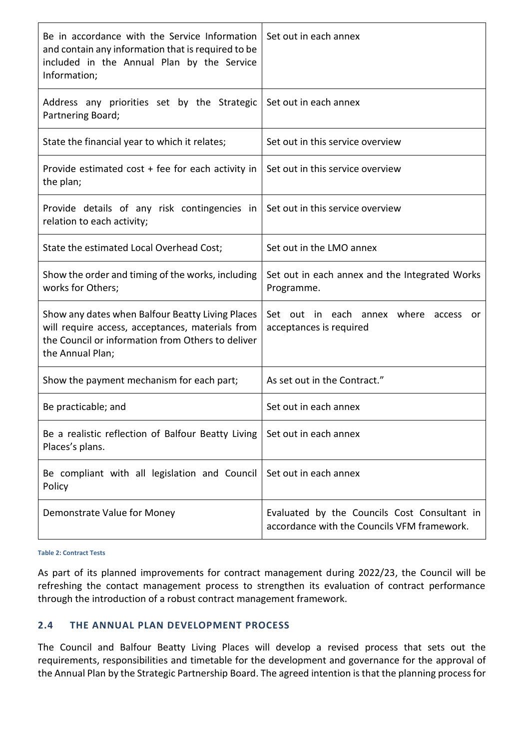| Be in accordance with the Service Information<br>and contain any information that is required to be<br>included in the Annual Plan by the Service<br>Information;             | Set out in each annex                                                                       |
|-------------------------------------------------------------------------------------------------------------------------------------------------------------------------------|---------------------------------------------------------------------------------------------|
| Address any priorities set by the Strategic<br>Partnering Board;                                                                                                              | Set out in each annex                                                                       |
| State the financial year to which it relates;                                                                                                                                 | Set out in this service overview                                                            |
| Provide estimated $cost + fee$ for each activity in<br>the plan;                                                                                                              | Set out in this service overview                                                            |
| Provide details of any risk contingencies in<br>relation to each activity;                                                                                                    | Set out in this service overview                                                            |
| State the estimated Local Overhead Cost;                                                                                                                                      | Set out in the LMO annex                                                                    |
| Show the order and timing of the works, including<br>works for Others;                                                                                                        | Set out in each annex and the Integrated Works<br>Programme.                                |
| Show any dates when Balfour Beatty Living Places<br>will require access, acceptances, materials from<br>the Council or information from Others to deliver<br>the Annual Plan; | Set out in each annex where access<br>or<br>acceptances is required                         |
| Show the payment mechanism for each part;                                                                                                                                     | As set out in the Contract."                                                                |
| Be practicable; and                                                                                                                                                           | Set out in each annex                                                                       |
| Be a realistic reflection of Balfour Beatty Living<br>Places's plans.                                                                                                         | Set out in each annex                                                                       |
| Be compliant with all legislation and Council<br>Policy                                                                                                                       | Set out in each annex                                                                       |
| Demonstrate Value for Money                                                                                                                                                   | Evaluated by the Councils Cost Consultant in<br>accordance with the Councils VFM framework. |

<span id="page-7-0"></span>**Table 2: Contract Tests**

As part of its planned improvements for contract management during 2022/23, the Council will be refreshing the contact management process to strengthen its evaluation of contract performance through the introduction of a robust contract management framework.

#### **2.4 THE ANNUAL PLAN DEVELOPMENT PROCESS**

The Council and Balfour Beatty Living Places will develop a revised process that sets out the requirements, responsibilities and timetable for the development and governance for the approval of the Annual Plan by the Strategic Partnership Board. The agreed intention is that the planning process for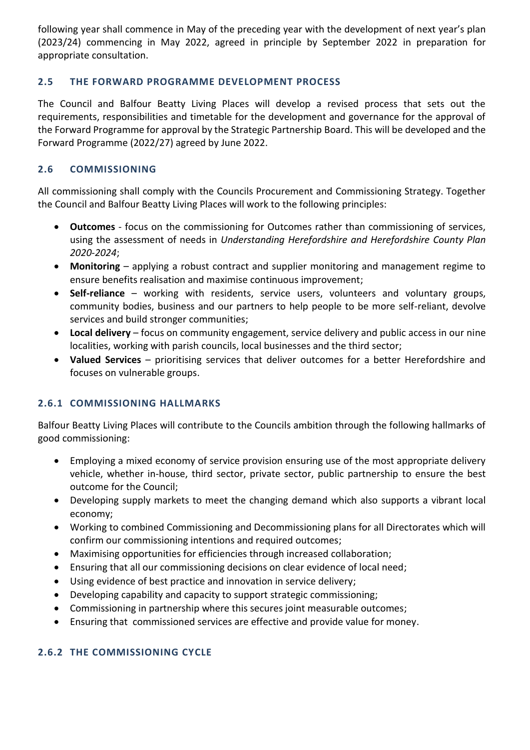following year shall commence in May of the preceding year with the development of next year's plan (2023/24) commencing in May 2022, agreed in principle by September 2022 in preparation for appropriate consultation.

## **2.5 THE FORWARD PROGRAMME DEVELOPMENT PROCESS**

The Council and Balfour Beatty Living Places will develop a revised process that sets out the requirements, responsibilities and timetable for the development and governance for the approval of the Forward Programme for approval by the Strategic Partnership Board. This will be developed and the Forward Programme (2022/27) agreed by June 2022.

## **2.6 COMMISSIONING**

All commissioning shall comply with the Councils Procurement and Commissioning Strategy. Together the Council and Balfour Beatty Living Places will work to the following principles:

- **Outcomes** focus on the commissioning for Outcomes rather than commissioning of services, using the assessment of needs in *Understanding Herefordshire and Herefordshire County Plan 2020-2024*;
- **Monitoring** applying a robust contract and supplier monitoring and management regime to ensure benefits realisation and maximise continuous improvement;
- **Self-reliance** working with residents, service users, volunteers and voluntary groups, community bodies, business and our partners to help people to be more self-reliant, devolve services and build stronger communities;
- **Local delivery** focus on community engagement, service delivery and public access in our nine localities, working with parish councils, local businesses and the third sector;
- **Valued Services** prioritising services that deliver outcomes for a better Herefordshire and focuses on vulnerable groups.

## **2.6.1 COMMISSIONING HALLMARKS**

Balfour Beatty Living Places will contribute to the Councils ambition through the following hallmarks of good commissioning:

- Employing a mixed economy of service provision ensuring use of the most appropriate delivery vehicle, whether in-house, third sector, private sector, public partnership to ensure the best outcome for the Council;
- Developing supply markets to meet the changing demand which also supports a vibrant local economy;
- Working to combined Commissioning and Decommissioning plans for all Directorates which will confirm our commissioning intentions and required outcomes;
- Maximising opportunities for efficiencies through increased collaboration;
- Ensuring that all our commissioning decisions on clear evidence of local need;
- Using evidence of best practice and innovation in service delivery;
- Developing capability and capacity to support strategic commissioning;
- Commissioning in partnership where this secures joint measurable outcomes;
- Ensuring that commissioned services are effective and provide value for money.

## **2.6.2 THE COMMISSIONING CYCLE**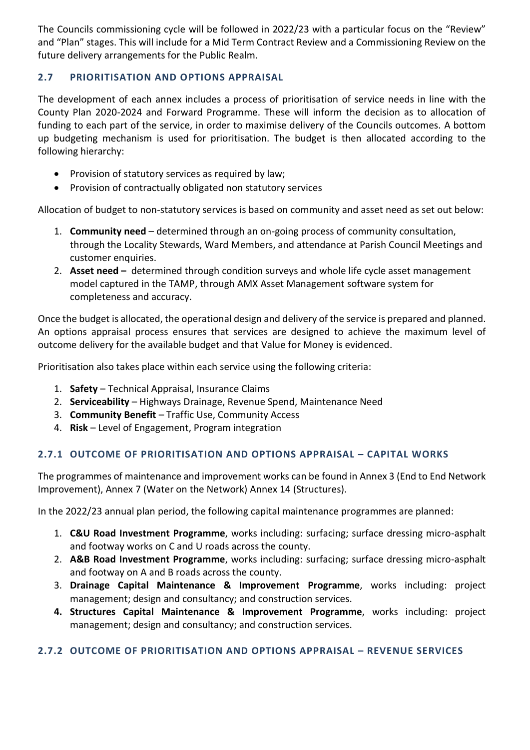The Councils commissioning cycle will be followed in 2022/23 with a particular focus on the "Review" and "Plan" stages. This will include for a Mid Term Contract Review and a Commissioning Review on the future delivery arrangements for the Public Realm.

## **2.7 PRIORITISATION AND OPTIONS APPRAISAL**

The development of each annex includes a process of prioritisation of service needs in line with the County Plan 2020-2024 and Forward Programme. These will inform the decision as to allocation of funding to each part of the service, in order to maximise delivery of the Councils outcomes. A bottom up budgeting mechanism is used for prioritisation. The budget is then allocated according to the following hierarchy:

- Provision of statutory services as required by law;
- Provision of contractually obligated non statutory services

Allocation of budget to non-statutory services is based on community and asset need as set out below:

- 1. **Community need** determined through an on-going process of community consultation, through the Locality Stewards, Ward Members, and attendance at Parish Council Meetings and customer enquiries.
- 2. **Asset need –** determined through condition surveys and whole life cycle asset management model captured in the TAMP, through AMX Asset Management software system for completeness and accuracy.

Once the budget is allocated, the operational design and delivery of the service is prepared and planned. An options appraisal process ensures that services are designed to achieve the maximum level of outcome delivery for the available budget and that Value for Money is evidenced.

Prioritisation also takes place within each service using the following criteria:

- 1. **Safety**  Technical Appraisal, Insurance Claims
- 2. **Serviceability** Highways Drainage, Revenue Spend, Maintenance Need
- 3. **Community Benefit** Traffic Use, Community Access
- 4. **Risk** Level of Engagement, Program integration

## **2.7.1 OUTCOME OF PRIORITISATION AND OPTIONS APPRAISAL – CAPITAL WORKS**

The programmes of maintenance and improvement works can be found in Annex 3 (End to End Network Improvement), Annex 7 (Water on the Network) Annex 14 (Structures).

In the 2022/23 annual plan period, the following capital maintenance programmes are planned:

- 1. **C&U Road Investment Programme**, works including: surfacing; surface dressing micro-asphalt and footway works on C and U roads across the county.
- 2. **A&B Road Investment Programme**, works including: surfacing; surface dressing micro-asphalt and footway on A and B roads across the county.
- 3. **Drainage Capital Maintenance & Improvement Programme**, works including: project management; design and consultancy; and construction services.
- **4. Structures Capital Maintenance & Improvement Programme**, works including: project management; design and consultancy; and construction services.

## **2.7.2 OUTCOME OF PRIORITISATION AND OPTIONS APPRAISAL – REVENUE SERVICES**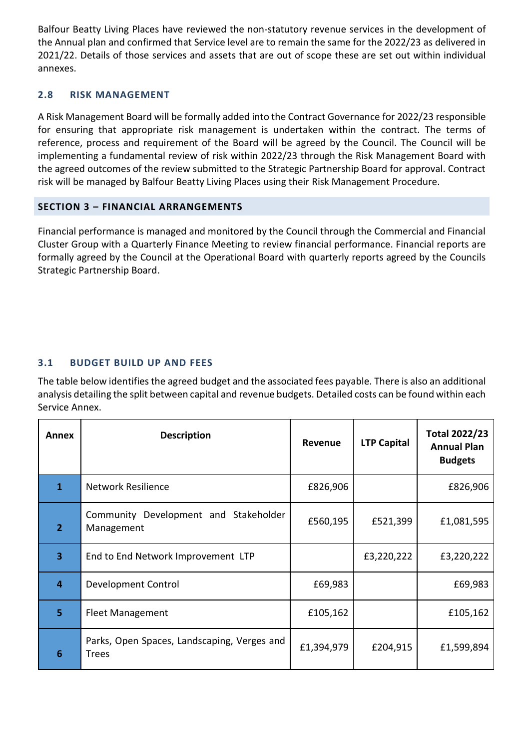Balfour Beatty Living Places have reviewed the non-statutory revenue services in the development of the Annual plan and confirmed that Service level are to remain the same for the 2022/23 as delivered in 2021/22. Details of those services and assets that are out of scope these are set out within individual annexes.

#### **2.8 RISK MANAGEMENT**

A Risk Management Board will be formally added into the Contract Governance for 2022/23 responsible for ensuring that appropriate risk management is undertaken within the contract. The terms of reference, process and requirement of the Board will be agreed by the Council. The Council will be implementing a fundamental review of risk within 2022/23 through the Risk Management Board with the agreed outcomes of the review submitted to the Strategic Partnership Board for approval. Contract risk will be managed by Balfour Beatty Living Places using their Risk Management Procedure.

#### **SECTION 3 – FINANCIAL ARRANGEMENTS**

Financial performance is managed and monitored by the Council through the Commercial and Financial Cluster Group with a Quarterly Finance Meeting to review financial performance. Financial reports are formally agreed by the Council at the Operational Board with quarterly reports agreed by the Councils Strategic Partnership Board.

## **3.1 BUDGET BUILD UP AND FEES**

The table below identifies the agreed budget and the associated fees payable. There is also an additional analysis detailing the split between capital and revenue budgets. Detailed costs can be found within each Service Annex.

| Annex          | <b>Description</b>                                          | Revenue    | <b>LTP Capital</b> | <b>Total 2022/23</b><br><b>Annual Plan</b><br><b>Budgets</b> |
|----------------|-------------------------------------------------------------|------------|--------------------|--------------------------------------------------------------|
| 1              | <b>Network Resilience</b>                                   | £826,906   |                    | £826,906                                                     |
| $\overline{2}$ | Community Development and Stakeholder<br>Management         | £560,195   | £521,399           | £1,081,595                                                   |
| 3              | End to End Network Improvement LTP                          |            | £3,220,222         | £3,220,222                                                   |
| 4              | Development Control                                         | £69,983    |                    | £69,983                                                      |
| 5              | <b>Fleet Management</b>                                     | £105,162   |                    | £105,162                                                     |
| 6              | Parks, Open Spaces, Landscaping, Verges and<br><b>Trees</b> | £1,394,979 | £204,915           | £1,599,894                                                   |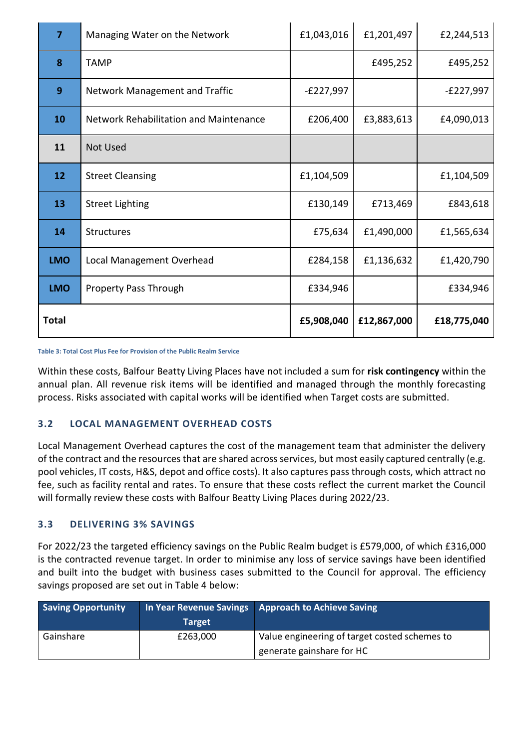| $\overline{7}$  | Managing Water on the Network          | £1,043,016  | £1,201,497  | £2,244,513  |
|-----------------|----------------------------------------|-------------|-------------|-------------|
| 8               | <b>TAMP</b>                            |             | £495,252    | £495,252    |
| 9               | Network Management and Traffic         | $-E227,997$ |             | $-E227,997$ |
| 10              | Network Rehabilitation and Maintenance | £206,400    | £3,883,613  | £4,090,013  |
| 11              | <b>Not Used</b>                        |             |             |             |
| 12 <sup>2</sup> | <b>Street Cleansing</b>                | £1,104,509  |             | £1,104,509  |
| 13              | <b>Street Lighting</b>                 | £130,149    | £713,469    | £843,618    |
| 14              | <b>Structures</b>                      | £75,634     | £1,490,000  | £1,565,634  |
| <b>LMO</b>      | Local Management Overhead              | £284,158    | £1,136,632  | £1,420,790  |
| <b>LMO</b>      | <b>Property Pass Through</b>           | £334,946    |             | £334,946    |
| <b>Total</b>    |                                        | £5,908,040  | £12,867,000 | £18,775,040 |

**Table 3: Total Cost Plus Fee for Provision of the Public Realm Service**

Within these costs, Balfour Beatty Living Places have not included a sum for **risk contingency** within the annual plan. All revenue risk items will be identified and managed through the monthly forecasting process. Risks associated with capital works will be identified when Target costs are submitted.

## **3.2 LOCAL MANAGEMENT OVERHEAD COSTS**

Local Management Overhead captures the cost of the management team that administer the delivery of the contract and the resources that are shared across services, but most easily captured centrally (e.g. pool vehicles, IT costs, H&S, depot and office costs). It also captures pass through costs, which attract no fee, such as facility rental and rates. To ensure that these costs reflect the current market the Council will formally review these costs with Balfour Beatty Living Places during 2022/23.

## **3.3 DELIVERING 3% SAVINGS**

For 2022/23 the targeted efficiency savings on the Public Realm budget is £579,000, of which £316,000 is the contracted revenue target. In order to minimise any loss of service savings have been identified and built into the budget with business cases submitted to the Council for approval. The efficiency savings proposed are set out in Table 4 below:

| <b>Saving Opportunity</b> |          | In Year Revenue Savings Approach to Achieve Saving |
|---------------------------|----------|----------------------------------------------------|
|                           | Target   |                                                    |
| Gainshare                 | £263,000 | Value engineering of target costed schemes to      |
|                           |          | generate gainshare for HC                          |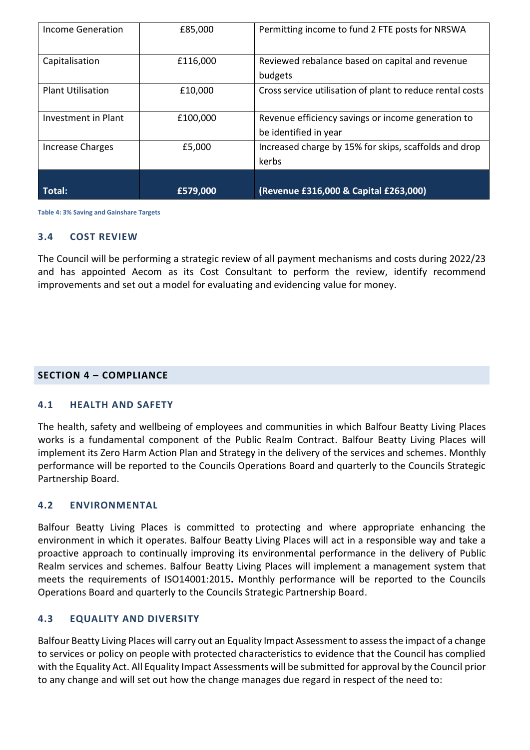| Income Generation        | £85,000  | Permitting income to fund 2 FTE posts for NRSWA           |
|--------------------------|----------|-----------------------------------------------------------|
| Capitalisation           | £116,000 | Reviewed rebalance based on capital and revenue           |
|                          |          | budgets                                                   |
| <b>Plant Utilisation</b> | £10,000  | Cross service utilisation of plant to reduce rental costs |
| Investment in Plant      | £100,000 | Revenue efficiency savings or income generation to        |
|                          |          | be identified in year                                     |
| <b>Increase Charges</b>  | £5,000   | Increased charge by 15% for skips, scaffolds and drop     |
|                          |          | kerbs                                                     |
|                          |          |                                                           |
| Total:                   | £579,000 | (Revenue £316,000 & Capital £263,000)                     |

**Table 4: 3% Saving and Gainshare Targets**

## **3.4 COST REVIEW**

The Council will be performing a strategic review of all payment mechanisms and costs during 2022/23 and has appointed Aecom as its Cost Consultant to perform the review, identify recommend improvements and set out a model for evaluating and evidencing value for money.

#### **SECTION 4 – COMPLIANCE**

#### **4.1 HEALTH AND SAFETY**

The health, safety and wellbeing of employees and communities in which Balfour Beatty Living Places works is a fundamental component of the Public Realm Contract. Balfour Beatty Living Places will implement its Zero Harm Action Plan and Strategy in the delivery of the services and schemes. Monthly performance will be reported to the Councils Operations Board and quarterly to the Councils Strategic Partnership Board.

#### **4.2 ENVIRONMENTAL**

Balfour Beatty Living Places is committed to protecting and where appropriate enhancing the environment in which it operates. Balfour Beatty Living Places will act in a responsible way and take a proactive approach to continually improving its environmental performance in the delivery of Public Realm services and schemes. Balfour Beatty Living Places will implement a management system that meets the requirements of ISO14001:2015**.** Monthly performance will be reported to the Councils Operations Board and quarterly to the Councils Strategic Partnership Board.

#### **4.3 EQUALITY AND DIVERSITY**

Balfour Beatty Living Places will carry out an Equality Impact Assessment to assess the impact of a change to services or policy on people with protected characteristics to evidence that the Council has complied with the Equality Act. All Equality Impact Assessments will be submitted for approval by the Council prior to any change and will set out how the change manages due regard in respect of the need to: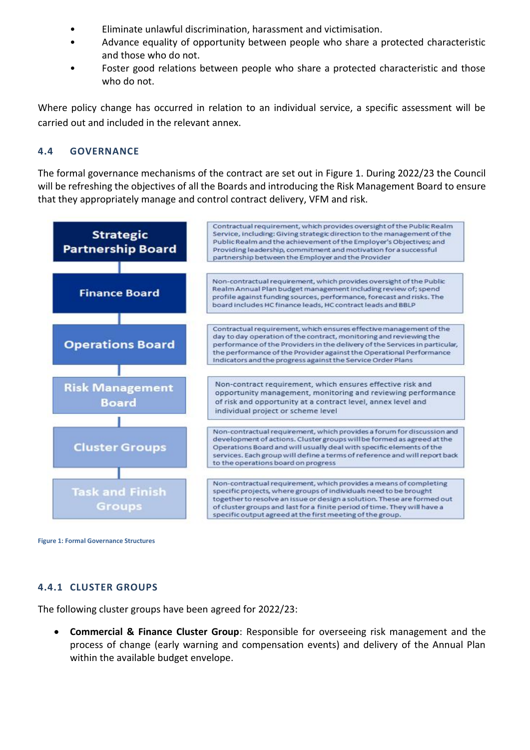- Eliminate unlawful discrimination, harassment and victimisation.
- Advance equality of opportunity between people who share a protected characteristic and those who do not.
- Foster good relations between people who share a protected characteristic and those who do not.

Where policy change has occurred in relation to an individual service, a specific assessment will be carried out and included in the relevant annex.

#### **4.4 GOVERNANCE**

The formal governance mechanisms of the contract are set out in Figure 1. During 2022/23 the Council will be refreshing the objectives of all the Boards and introducing the Risk Management Board to ensure that they appropriately manage and control contract delivery, VFM and risk.



**Figure 1: Formal Governance Structures**

## **4.4.1 CLUSTER GROUPS**

The following cluster groups have been agreed for 2022/23:

 **Commercial & Finance Cluster Group**: Responsible for overseeing risk management and the process of change (early warning and compensation events) and delivery of the Annual Plan within the available budget envelope.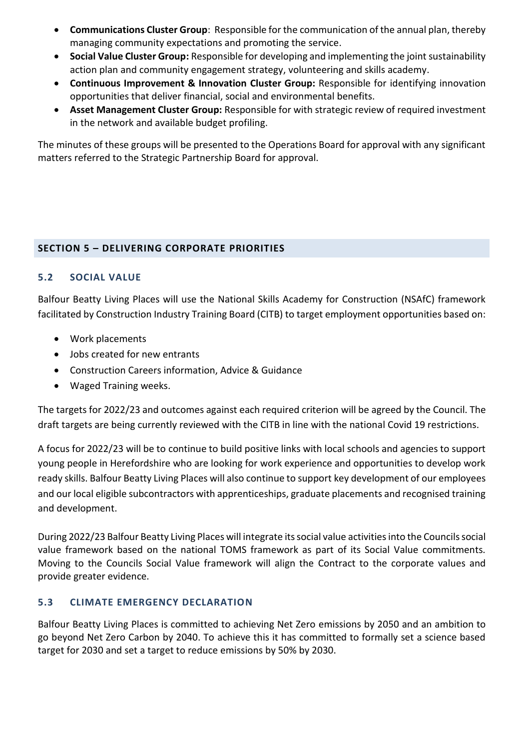- **Communications Cluster Group**: Responsible for the communication of the annual plan, thereby managing community expectations and promoting the service.
- **Social Value Cluster Group:** Responsible for developing and implementing the joint sustainability action plan and community engagement strategy, volunteering and skills academy.
- **Continuous Improvement & Innovation Cluster Group:** Responsible for identifying innovation opportunities that deliver financial, social and environmental benefits.
- **Asset Management Cluster Group:** Responsible for with strategic review of required investment in the network and available budget profiling.

The minutes of these groups will be presented to the Operations Board for approval with any significant matters referred to the Strategic Partnership Board for approval.

## **SECTION 5 – DELIVERING CORPORATE PRIORITIES**

## **5.2 SOCIAL VALUE**

Balfour Beatty Living Places will use the National Skills Academy for Construction (NSAfC) framework facilitated by Construction Industry Training Board (CITB) to target employment opportunities based on:

- Work placements
- Jobs created for new entrants
- Construction Careers information, Advice & Guidance
- Waged Training weeks.

The targets for 2022/23 and outcomes against each required criterion will be agreed by the Council. The draft targets are being currently reviewed with the CITB in line with the national Covid 19 restrictions.

A focus for 2022/23 will be to continue to build positive links with local schools and agencies to support young people in Herefordshire who are looking for work experience and opportunities to develop work ready skills. Balfour Beatty Living Places will also continue to support key development of our employees and our local eligible subcontractors with apprenticeships, graduate placements and recognised training and development.

During 2022/23 Balfour Beatty Living Places will integrate its social value activities into the Councils social value framework based on the national TOMS framework as part of its Social Value commitments. Moving to the Councils Social Value framework will align the Contract to the corporate values and provide greater evidence.

## **5.3 CLIMATE EMERGENCY DECLARATION**

Balfour Beatty Living Places is committed to achieving Net Zero emissions by 2050 and an ambition to go beyond Net Zero Carbon by 2040. To achieve this it has committed to formally set a science based target for 2030 and set a target to reduce emissions by 50% by 2030.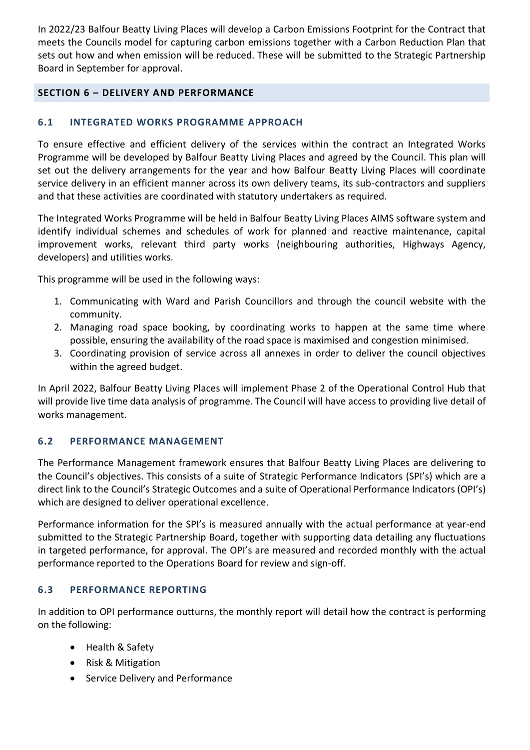In 2022/23 Balfour Beatty Living Places will develop a Carbon Emissions Footprint for the Contract that meets the Councils model for capturing carbon emissions together with a Carbon Reduction Plan that sets out how and when emission will be reduced. These will be submitted to the Strategic Partnership Board in September for approval.

## **SECTION 6 – DELIVERY AND PERFORMANCE**

#### **6.1 INTEGRATED WORKS PROGRAMME APPROACH**

To ensure effective and efficient delivery of the services within the contract an Integrated Works Programme will be developed by Balfour Beatty Living Places and agreed by the Council. This plan will set out the delivery arrangements for the year and how Balfour Beatty Living Places will coordinate service delivery in an efficient manner across its own delivery teams, its sub-contractors and suppliers and that these activities are coordinated with statutory undertakers as required.

The Integrated Works Programme will be held in Balfour Beatty Living Places AIMS software system and identify individual schemes and schedules of work for planned and reactive maintenance, capital improvement works, relevant third party works (neighbouring authorities, Highways Agency, developers) and utilities works.

This programme will be used in the following ways:

- 1. Communicating with Ward and Parish Councillors and through the council website with the community.
- 2. Managing road space booking, by coordinating works to happen at the same time where possible, ensuring the availability of the road space is maximised and congestion minimised.
- 3. Coordinating provision of service across all annexes in order to deliver the council objectives within the agreed budget.

In April 2022, Balfour Beatty Living Places will implement Phase 2 of the Operational Control Hub that will provide live time data analysis of programme. The Council will have access to providing live detail of works management.

#### **6.2 PERFORMANCE MANAGEMENT**

The Performance Management framework ensures that Balfour Beatty Living Places are delivering to the Council's objectives. This consists of a suite of Strategic Performance Indicators (SPI's) which are a direct link to the Council's Strategic Outcomes and a suite of Operational Performance Indicators (OPI's) which are designed to deliver operational excellence.

Performance information for the SPI's is measured annually with the actual performance at year-end submitted to the Strategic Partnership Board, together with supporting data detailing any fluctuations in targeted performance, for approval. The OPI's are measured and recorded monthly with the actual performance reported to the Operations Board for review and sign-off.

#### **6.3 PERFORMANCE REPORTING**

In addition to OPI performance outturns, the monthly report will detail how the contract is performing on the following:

- Health & Safety
- Risk & Mitigation
- Service Delivery and Performance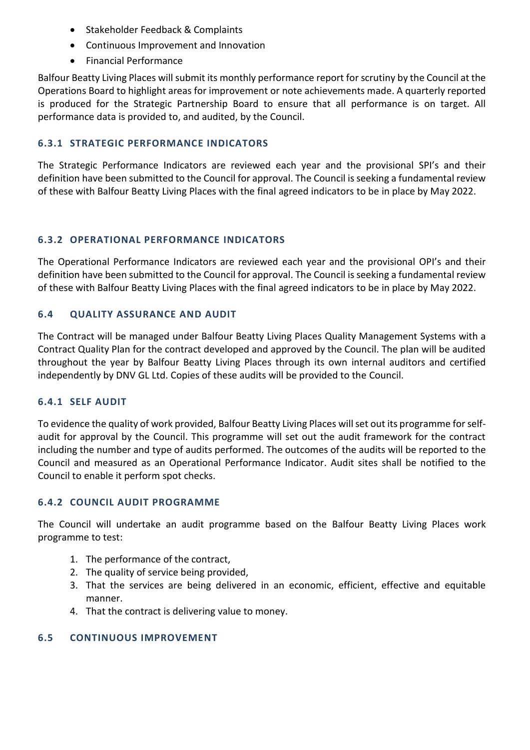- Stakeholder Feedback & Complaints
- Continuous Improvement and Innovation
- Financial Performance

Balfour Beatty Living Places will submit its monthly performance report for scrutiny by the Council at the Operations Board to highlight areas for improvement or note achievements made. A quarterly reported is produced for the Strategic Partnership Board to ensure that all performance is on target. All performance data is provided to, and audited, by the Council.

## **6.3.1 STRATEGIC PERFORMANCE INDICATORS**

The Strategic Performance Indicators are reviewed each year and the provisional SPI's and their definition have been submitted to the Council for approval. The Council is seeking a fundamental review of these with Balfour Beatty Living Places with the final agreed indicators to be in place by May 2022.

## **6.3.2 OPERATIONAL PERFORMANCE INDICATORS**

The Operational Performance Indicators are reviewed each year and the provisional OPI's and their definition have been submitted to the Council for approval. The Council is seeking a fundamental review of these with Balfour Beatty Living Places with the final agreed indicators to be in place by May 2022.

## **6.4 QUALITY ASSURANCE AND AUDIT**

The Contract will be managed under Balfour Beatty Living Places Quality Management Systems with a Contract Quality Plan for the contract developed and approved by the Council. The plan will be audited throughout the year by Balfour Beatty Living Places through its own internal auditors and certified independently by DNV GL Ltd. Copies of these audits will be provided to the Council.

## **6.4.1 SELF AUDIT**

To evidence the quality of work provided, Balfour Beatty Living Places will set out its programme for selfaudit for approval by the Council. This programme will set out the audit framework for the contract including the number and type of audits performed. The outcomes of the audits will be reported to the Council and measured as an Operational Performance Indicator. Audit sites shall be notified to the Council to enable it perform spot checks.

## **6.4.2 COUNCIL AUDIT PROGRAMME**

The Council will undertake an audit programme based on the Balfour Beatty Living Places work programme to test:

- 1. The performance of the contract,
- 2. The quality of service being provided,
- 3. That the services are being delivered in an economic, efficient, effective and equitable manner.
- 4. That the contract is delivering value to money.

## **6.5 CONTINUOUS IMPROVEMENT**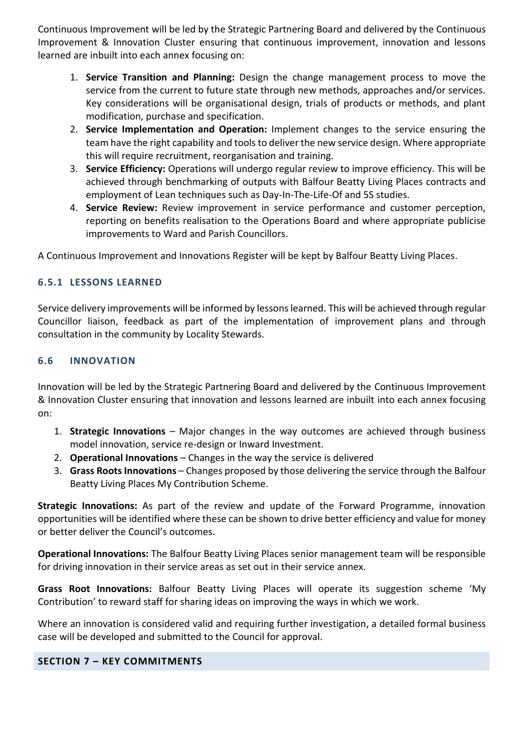Continuous Improvement will be led by the Strategic Partnering Board and delivered by the Continuous Improvement & Innovation Cluster ensuring that continuous improvement, innovation and lessons learned are inbuilt into each annex focusing on:

- 1. **Service Transition and Planning:** Design the change management process to move the service from the current to future state through new methods, approaches and/or services. Key considerations will be organisational design, trials of products or methods, and plant modification, purchase and specification.
- 2. **Service Implementation and Operation:** Implement changes to the service ensuring the team have the right capability and tools to deliver the new service design. Where appropriate this will require recruitment, reorganisation and training.
- 3. **Service Efficiency:** Operations will undergo regular review to improve efficiency. This will be achieved through benchmarking of outputs with Balfour Beatty Living Places contracts and employment of Lean techniques such as Day-In-The-Life-Of and 5S studies.
- 4. **Service Review:** Review improvement in service performance and customer perception, reporting on benefits realisation to the Operations Board and where appropriate publicise improvements to Ward and Parish Councillors.

A Continuous Improvement and Innovations Register will be kept by Balfour Beatty Living Places.

## **6.5.1 LESSONS LEARNED**

Service delivery improvements will be informed by lessons learned. This will be achieved through regular Councillor liaison, feedback as part of the implementation of improvement plans and through consultation in the community by Locality Stewards.

## **6.6 INNOVATION**

Innovation will be led by the Strategic Partnering Board and delivered by the Continuous Improvement & Innovation Cluster ensuring that innovation and lessons learned are inbuilt into each annex focusing on:

- 1. **Strategic Innovations** Major changes in the way outcomes are achieved through business model innovation, service re-design or Inward Investment.
- 2. **Operational Innovations** Changes in the way the service is delivered
- 3. **Grass Roots Innovations** Changes proposed by those delivering the service through the Balfour Beatty Living Places My Contribution Scheme.

**Strategic Innovations:** As part of the review and update of the Forward Programme, innovation opportunities will be identified where these can be shown to drive better efficiency and value for money or better deliver the Council's outcomes.

**Operational Innovations:** The Balfour Beatty Living Places senior management team will be responsible for driving innovation in their service areas as set out in their service annex.

**Grass Root Innovations:** Balfour Beatty Living Places will operate its suggestion scheme 'My Contribution' to reward staff for sharing ideas on improving the ways in which we work.

Where an innovation is considered valid and requiring further investigation, a detailed formal business case will be developed and submitted to the Council for approval.

## **SECTION 7 – KEY COMMITMENTS**